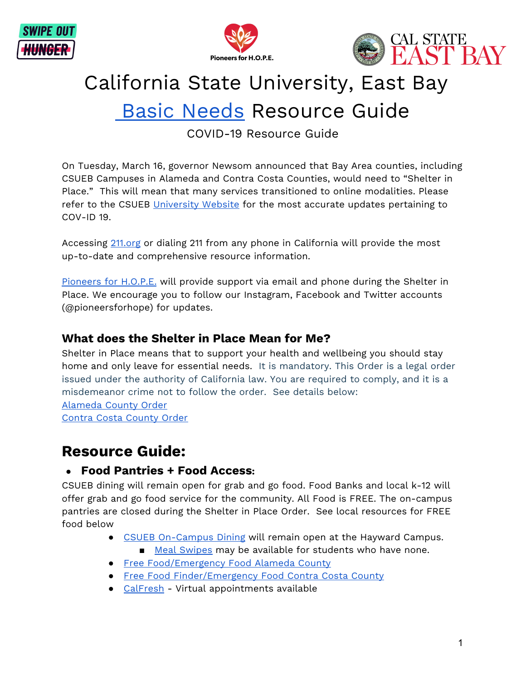





# California State University, East Bay

## **Basic [Needs](http://www.csueastbay.edu/hope) Resource Guide**

COVID-19 Resource Guide

On Tuesday, March 16, governor Newsom announced that Bay Area counties, including CSUEB Campuses in Alameda and Contra Costa Counties, would need to "Shelter in Place." This will mean that many services transitioned to online modalities. Please refer to the CSUEB [University](https://www.csueastbay.edu/coronavirus-information/index.html) Website for the most accurate updates pertaining to COV-ID 19.

Accessing [211.org](http://211.org/) or dialing 211 from any phone in California will provide the most up-to-date and comprehensive resource information.

[Pioneers](mailto:hope@csueastbay.edu) for H.O.P.E. will provide support via email and phone during the Shelter in Place. We encourage you to follow our Instagram, Facebook and Twitter accounts (@pioneersforhope) for updates.

#### **What does the Shelter in Place Mean for Me?**

Shelter in Place means that to support your health and wellbeing you should stay home and only leave for essential needs. It is mandatory. This Order is a legal order issued under the authority of California law. You are required to comply, and it is a misdemeanor crime not to follow the order. See details below: [Alameda](http://acphd.org/media/559658/health-officer-order-shelter-in-place-20200316.pdf) County Order Contra Costa [County](https://cchealth.org/coronavirus/pdf/HO-COVID19-SIP-0316-2020.pdf) Order

### **Resource Guide:**

#### **● Food Pantries + Food Access:**

CSUEB dining will remain open for grab and go food. Food Banks and local k-12 will offer grab and go food service for the community. All Food is FREE. The on-campus pantries are closed during the Shelter in Place Order. See local resources for FREE food below

- CSUEB [On-Campus](https://dineoncampus.com/csueb) Dining will remain open at the Hayward Campus.
	- Meal [Swipes](mailto:hope@csueastbay.edu) may be available for students who have none.
- Free [Food/Emergency](https://www.accfb.org/get-food/) Food Alameda County
- Free Food [Finder/Emergency](https://www.foodbankccs.org/get-help/foodbycity.html) Food Contra Costa County
- [CalFresh](http://www.csueastbay.edu/) Virtual appointments available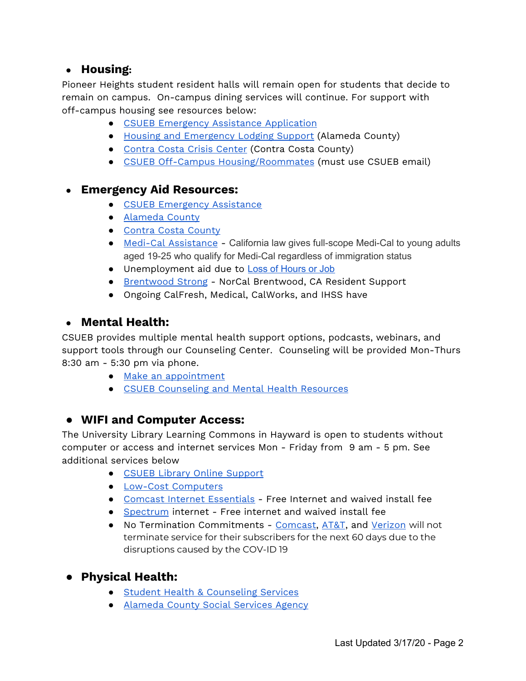#### **● Housing:**

Pioneer Heights student resident halls will remain open for students that decide to remain on campus. On-campus dining services will continue. For support with off-campus housing see resources below:

- CSUEB Emergency Assistance [Application](http://www.csueastbay.edu/hope)
- Housing and [Emergency](https://forms.office.com/Pages/ResponsePage.aspx?id=LP_9Mm74o0ukfWpEp_RaZC3qomjaImRFgi4Iwr_sKutUMkE1Q0oyR1czME5JM1AyMkhKUzQ0NkNPRC4u) Lodging Support (Alameda County)
- [Contra](https://cccc.myresourcedirectory.com/) Costa Crisis Center (Contra Costa County)
- CSUEB Off-Campus [Housing/Roommates](https://www.facebook.com/groups/478072148877315/) (must use CSUEB email)

#### **● Emergency Aid Resources:**

- CSUEB [Emergency](https://orgsync.com/146295/forms/264330) Assistance
- [Alameda](http://211alamedacounty.org/2-1-1-alameda-county-resource-finder/) County
- Contra Costa [County](http://211cc.org/)
- Medi-Cal [Assistance](https://alamedasocialservices.org/public/docs/2020-01-14_Medi-Cal_young_adult_eligibility_expansion_FLYER.pdf) California law gives full-scope Medi-Cal to young adults aged 19-25 who qualify for Medi-Cal regardless of immigration status
- Unemployment aid due to Loss of [Hours](https://www.edd.ca.gov/about_edd/coronavirus-2019.htm) or Job
- [Brentwood](http://www.brentwoodstrong.com/) Strong NorCal Brentwood, CA Resident Support
- Ongoing CalFresh, Medical, CalWorks, and IHSS have

#### **● Mental Health:**

CSUEB provides multiple mental health support options, podcasts, webinars, and support tools through our Counseling Center. Counseling will be provided Mon-Thurs 8:30 am - 5:30 pm via phone.

- Make an [appointment](http://health.csueastbay.edu/)
- CSUEB [Counseling](https://www.csueastbay.edu/shcs/counseling/wellness-resources1/anxiety-management-tips-and-resources-for-covid-19.html) and Mental Health Resources

#### **● WIFI and Computer Access:**

The University Library Learning Commons in Hayward is open to students without computer or access and internet services Mon - Friday from 9 am - 5 pm. See additional services below

- CSUEB Library Online [Support](https://library.csueastbay.edu/usingthelibraries/learning-commons)
- Low-Cost [Computers](https://www.techexchange.org/)
- Comcast Internet [Essentials](https://www.internetessentials.com/covid19) Free Internet and waived install fee
- [Spectrum](https://corporate.charter.com/newsroom/charter-to-offer-free-access-to-spectrum-broadband-and-wifi-for-60-days-for-new-K12-and-college-student-households-and-more) internet Free internet and waived install fee
- No Termination Commitments [Comcast](https://corporate.comcast.com/covid-19), [AT&T](https://about.att.com/pages/COVID-19.html), and [Verizon](https://www.verizon.com/about/news/update-verizon-serve-customers-covid-19) will not terminate service for their subscribers for the next 60 days due to the disruptions caused by the COV-ID 19
- **● Physical Health:**
	- Student Health & [Counseling](https://www.csueastbay.edu/shcs/) Services
	- [Alameda](http://alamedasocialservices.org/public/index.cfm) County Social Services Agency